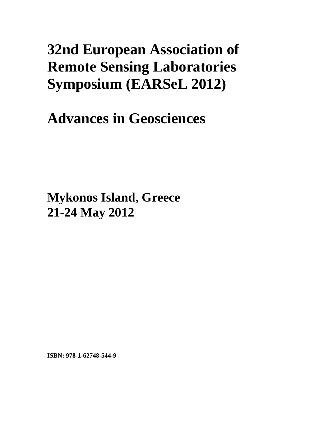# **32nd European Association of Remote Sensing Laboratories Symposium (EARSeL 2012)**

**Advances in Geosciences** 

**Mykonos Island, Greece 21-24 May 2012**

**ISBN: 978-1-62748-544-9**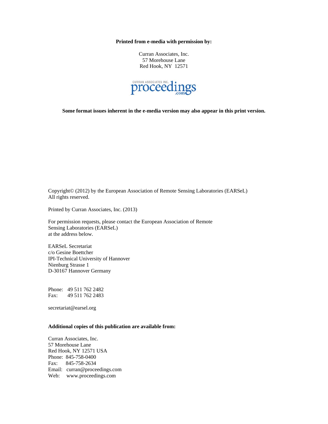**Printed from e-media with permission by:** 

Curran Associates, Inc. 57 Morehouse Lane Red Hook, NY 12571



**Some format issues inherent in the e-media version may also appear in this print version.** 

Copyright© (2012) by the European Association of Remote Sensing Laboratories (EARSeL) All rights reserved.

Printed by Curran Associates, Inc. (2013)

For permission requests, please contact the European Association of Remote Sensing Laboratories (EARSeL) at the address below.

EARSeL Secretariat c/o Gesine Boettcher IPI-Technical University of Hannover Nienburg Strasse 1 D-30167 Hannover Germany

Phone: 49 511 762 2482 Fax: 49 511 762 2483

secretariat@earsel.org

### **Additional copies of this publication are available from:**

Curran Associates, Inc. 57 Morehouse Lane Red Hook, NY 12571 USA Phone: 845-758-0400 Fax: 845-758-2634 Email: curran@proceedings.com Web: www.proceedings.com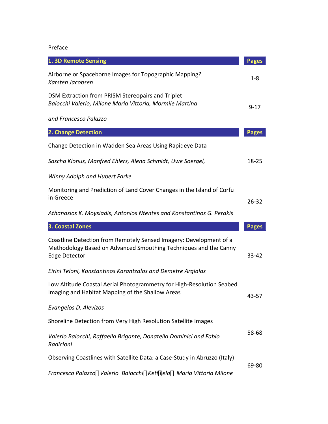Preface

| 1. 3D Remote Sensing                                                                                                                                           | <b>Pages</b> |
|----------------------------------------------------------------------------------------------------------------------------------------------------------------|--------------|
| Airborne or Spaceborne Images for Topographic Mapping?<br>Karsten Jacobsen                                                                                     | $1 - 8$      |
| DSM Extraction from PRISM Stereopairs and Triplet<br>Baiocchi Valerio, Milone Maria Vittoria, Mormile Martina                                                  | $9 - 17$     |
| and Francesco Palazzo                                                                                                                                          |              |
| 2. Change Detection                                                                                                                                            | <b>Pages</b> |
| Change Detection in Wadden Sea Areas Using Rapideye Data                                                                                                       |              |
| Sascha Klonus, Manfred Ehlers, Alena Schmidt, Uwe Soergel,                                                                                                     | 18-25        |
| Winny Adolph and Hubert Farke                                                                                                                                  |              |
| Monitoring and Prediction of Land Cover Changes in the Island of Corfu<br>in Greece                                                                            | $26 - 32$    |
| Athanasios K. Moysiadis, Antonios Ntentes and Konstantinos G. Perakis                                                                                          |              |
| 3. Coastal Zones                                                                                                                                               | <b>Pages</b> |
| Coastline Detection from Remotely Sensed Imagery: Development of a<br>Methodology Based on Advanced Smoothing Techniques and the Canny<br><b>Edge Detector</b> | 33-42        |
| Eirini Teloni, Konstantinos Karantzalos and Demetre Argialas                                                                                                   |              |
| Low Altitude Coastal Aerial Photogrammetry for High-Resolution Seabed<br>Imaging and Habitat Mapping of the Shallow Areas                                      | 43-57        |
| Evangelos D. Alevizos                                                                                                                                          |              |
| Shoreline Detection from Very High Resolution Satellite Images                                                                                                 |              |
|                                                                                                                                                                |              |
| Valerio Baiocchi, Raffaella Brigante, Donatella Dominici and Fabio<br>Radicioni                                                                                | 58-68        |
| Observing Coastlines with Satellite Data: a Case-Study in Abruzzo (Italy)                                                                                      | 69-80        |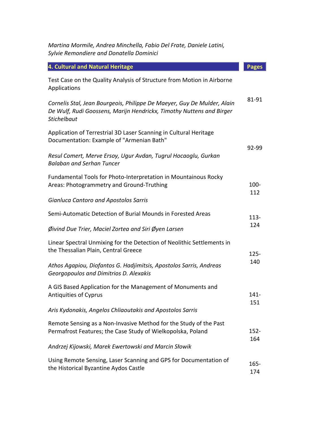*Martina Mormile, Andrea Minchella, Fabio Del Frate, Daniele Latini, Sylvie Remondiere and Donatella Dominici*

| 4. Cultural and Natural Heritage                                                                                                                                      | <b>Pages</b>   |
|-----------------------------------------------------------------------------------------------------------------------------------------------------------------------|----------------|
| Test Case on the Quality Analysis of Structure from Motion in Airborne<br>Applications                                                                                |                |
| Cornelis Stal, Jean Bourgeois, Philippe De Maeyer, Guy De Mulder, Alain<br>De Wulf, Rudi Goossens, Marijn Hendrickx, Timothy Nuttens and Birger<br><b>Stichelbaut</b> | 81-91          |
| Application of Terrestrial 3D Laser Scanning in Cultural Heritage<br>Documentation: Example of "Armenian Bath"                                                        | 92-99          |
| Resul Comert, Merve Ersoy, Ugur Avdan, Tugrul Hocaoglu, Gurkan<br><b>Balaban and Serhan Tuncer</b>                                                                    |                |
| Fundamental Tools for Photo-Interpretation in Mountainous Rocky<br>Areas: Photogrammetry and Ground-Truthing                                                          | $100 -$<br>112 |
| <b>Gianluca Cantoro and Apostolos Sarris</b>                                                                                                                          |                |
| Semi-Automatic Detection of Burial Mounds in Forested Areas                                                                                                           | $113 -$<br>124 |
| $\emptyset$ ivind Due Trier, Maciel Zortea and Siri $\emptyset$ yen Larsen                                                                                            |                |
| Linear Spectral Unmixing for the Detection of Neolithic Settlements in<br>the Thessalian Plain, Central Greece                                                        | $125 -$<br>140 |
| Athos Agapiou, Diofantos G. Hadjimitsis, Apostolos Sarris, Andreas<br>Georgopoulos and Dimitrios D. Alexakis                                                          |                |
| A GIS Based Application for the Management of Monuments and<br>Antiquities of Cyprus                                                                                  | $141 -$<br>151 |
| Aris Kydonakis, Angelos Chliaoutakis and Apostolos Sarris                                                                                                             |                |
| Remote Sensing as a Non-Invasive Method for the Study of the Past<br>Permafrost Features; the Case Study of Wielkopolska, Poland                                      | $152 -$        |
| Andrzej Kijowski, Marek Ewertowski and Marcin Słowik                                                                                                                  | 164            |
| Using Remote Sensing, Laser Scanning and GPS for Documentation of<br>the Historical Byzantine Aydos Castle                                                            | $165 -$<br>174 |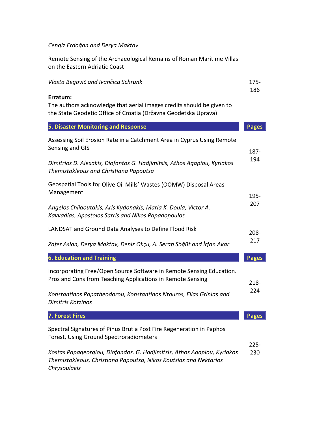## *Cengiz Erdoğan and Derya Maktav*

Remote Sensing of the Archaeological Remains of Roman Maritime Villas on the Eastern Adriatic Coast

| Vlasta Begović and Ivančica Schrunk                                                                                                                          | $175 -$<br>186 |
|--------------------------------------------------------------------------------------------------------------------------------------------------------------|----------------|
| Erratum:<br>The authors acknowledge that aerial images credits should be given to<br>the State Geodetic Office of Croatia (Državna Geodetska Uprava)         |                |
| <b>5. Disaster Monitoring and Response</b>                                                                                                                   | <b>Pages</b>   |
| Assessing Soil Erosion Rate in a Catchment Area in Cyprus Using Remote<br>Sensing and GIS                                                                    | 187-           |
| Dimitrios D. Alexakis, Diofantos G. Hadjimitsis, Athos Agapiou, Kyriakos<br>Themistokleous and Christiana Papoutsa                                           | 194            |
| Geospatial Tools for Olive Oil Mills' Wastes (OOMW) Disposal Areas<br>Management                                                                             | 195-           |
| Angelos Chliaoutakis, Aris Kydonakis, Maria K. Doula, Victor A.<br>Kavvadias, Apostolos Sarris and Nikos Papadopoulos                                        | 207            |
| LANDSAT and Ground Data Analyses to Define Flood Risk                                                                                                        | $208 -$        |
| Zafer Aslan, Derya Maktav, Deniz Okçu, A. Serap Söğüt and İrfan Akar                                                                                         | 217            |
| <b>6. Education and Training</b>                                                                                                                             | <b>Pages</b>   |
| Incorporating Free/Open Source Software in Remote Sensing Education.<br>Pros and Cons from Teaching Applications in Remote Sensing                           | $218 -$        |
| Konstantinos Papatheodorou, Konstantinos Ntouros, Elias Grinias and<br>Dimitris Kotzinos                                                                     | 224            |
| <b>7. Forest Fires</b>                                                                                                                                       | <b>Pages</b>   |
| Spectral Signatures of Pinus Brutia Post Fire Regeneration in Paphos<br>Forest, Using Ground Spectroradiometers                                              | $225-$         |
| Kostas Papageorgiou, Diofandos. G. Hadjimitsis, Athos Agapiou, Kyriakos<br>Themistokleous, Christiana Papoutsa, Nikos Koutsias and Nektarios<br>Chrysoulakis | 230            |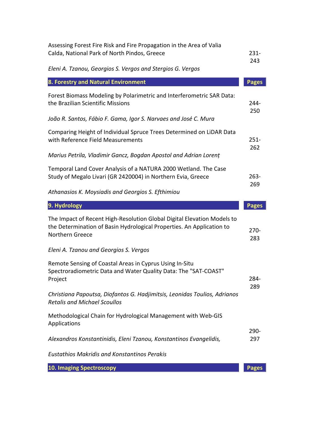| Assessing Forest Fire Risk and Fire Propagation in the Area of Valia<br>Calda, National Park of North Pindos, Greece                                                | $231 -$<br>243 |
|---------------------------------------------------------------------------------------------------------------------------------------------------------------------|----------------|
| Eleni A. Tzanou, Georgios S. Vergos and Stergios G. Vergos                                                                                                          |                |
| 8. Forestry and Natural Environment                                                                                                                                 | <b>Pages</b>   |
| Forest Biomass Modeling by Polarimetric and Interferometric SAR Data:<br>the Brazilian Scientific Missions                                                          | 244-<br>250    |
| João R. Santos, Fábio F. Gama, Igor S. Narvaes and José C. Mura                                                                                                     |                |
| Comparing Height of Individual Spruce Trees Determined on LiDAR Data<br>with Reference Field Measurements                                                           | $251 -$<br>262 |
| Marius Petrila, Vladimir Gancz, Bogdan Apostol and Adrian Lorent                                                                                                    |                |
| Temporal Land Cover Analysis of a NATURA 2000 Wetland. The Case<br>Study of Megalo Livari (GR 2420004) in Northern Evia, Greece                                     | $263 -$<br>269 |
| Athanasios K. Moysiadis and Georgios S. Efthimiou                                                                                                                   |                |
| 9. Hydrology                                                                                                                                                        | <b>Pages</b>   |
| The Impact of Recent High-Resolution Global Digital Elevation Models to<br>the Determination of Basin Hydrological Properties. An Application to<br>Northern Greece | $270-$<br>283  |
| Eleni A. Tzanou and Georgios S. Vergos                                                                                                                              |                |
| Remote Sensing of Coastal Areas in Cyprus Using In-Situ<br>Spectroradiometric Data and Water Quality Data: The "SAT-COAST"<br>Project                               | 284-<br>289    |
| Christiana Papoutsa, Diofantos G. Hadjimitsis, Leonidas Toulios, Adrianos<br><b>Retalis and Michael Scoullos</b>                                                    |                |
| Methodological Chain for Hydrological Management with Web-GIS<br>Applications                                                                                       |                |
| Alexandros Konstantinidis, Eleni Tzanou, Konstantinos Evangelidis,                                                                                                  | 290-<br>297    |
| <b>Eustathios Makridis and Konstantinos Perakis</b>                                                                                                                 |                |
| <b>10. Imaging Spectroscopy</b>                                                                                                                                     | <b>Pages</b>   |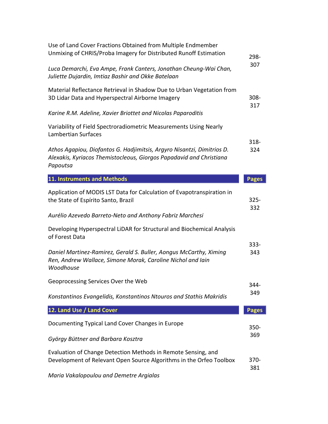| Use of Land Cover Fractions Obtained from Multiple Endmember<br>Unmixing of CHRIS/Proba Imagery for Distributed Runoff Estimation                         | 298-           |
|-----------------------------------------------------------------------------------------------------------------------------------------------------------|----------------|
| Luca Demarchi, Eva Ampe, Frank Canters, Jonathan Cheung-Wai Chan,<br>Juliette Dujardin, Imtiaz Bashir and Okke Batelaan                                   | 307            |
| Material Reflectance Retrieval in Shadow Due to Urban Vegetation from<br>3D Lidar Data and Hyperspectral Airborne Imagery                                 | $308 -$        |
| Karine R.M. Adeline, Xavier Briottet and Nicolas Paparoditis                                                                                              | 317            |
| Variability of Field Spectroradiometric Measurements Using Nearly<br>Lambertian Surfaces                                                                  |                |
| Athos Agapiou, Diofantos G. Hadjimitsis, Argyro Nisantzi, Dimitrios D.<br>Alexakis, Kyriacos Themistocleous, Giorgos Papadavid and Christiana<br>Papoutsa | $318 -$<br>324 |
| 11. Instruments and Methods                                                                                                                               | <b>Pages</b>   |
| Application of MODIS LST Data for Calculation of Evapotranspiration in<br>the State of Espírito Santo, Brazil                                             | $325 -$<br>332 |
| Aurélio Azevedo Barreto-Neto and Anthony Fabriz Marchesi                                                                                                  |                |
| Developing Hyperspectral LiDAR for Structural and Biochemical Analysis<br>of Forest Data                                                                  |                |
| Daniel Martinez-Ramirez, Gerald S. Buller, Aongus McCarthy, Ximing<br>Ren, Andrew Wallace, Simone Morak, Caroline Nichol and Iain<br>Woodhouse            | $333 -$<br>343 |
| Geoprocessing Services Over the Web                                                                                                                       | 344-           |
| Konstantinos Evangelidis, Konstantinos Ntouros and Stathis Makridis                                                                                       | 349            |
| 12. Land Use / Land Cover                                                                                                                                 | <b>Pages</b>   |
| Documenting Typical Land Cover Changes in Europe                                                                                                          | $350 -$        |
| György Büttner and Barbara Kosztra                                                                                                                        | 369            |
| Evaluation of Change Detection Methods in Remote Sensing, and<br>Development of Relevant Open Source Algorithms in the Orfeo Toolbox                      | $370 -$<br>381 |
| Maria Vakalopoulou and Demetre Argialas                                                                                                                   |                |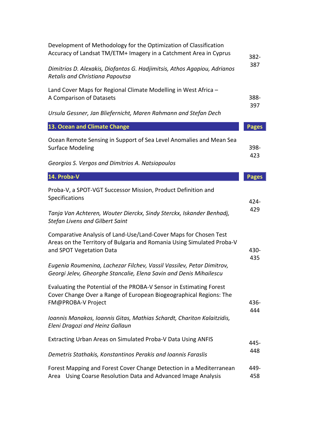| Development of Methodology for the Optimization of Classification<br>Accuracy of Landsat TM/ETM+ Imagery in a Catchment Area in Cyprus                                 | $382 -$<br>387 |
|------------------------------------------------------------------------------------------------------------------------------------------------------------------------|----------------|
| Dimitrios D. Alexakis, Diofantos G. Hadjimitsis, Athos Agapiou, Adrianos<br>Retalis and Christiana Papoutsa                                                            |                |
| Land Cover Maps for Regional Climate Modelling in West Africa -<br>A Comparison of Datasets                                                                            | 388-           |
| Ursula Gessner, Jan Bliefernicht, Maren Rahmann and Stefan Dech                                                                                                        | 397            |
| 13. Ocean and Climate Change                                                                                                                                           | <b>Pages</b>   |
| Ocean Remote Sensing in Support of Sea Level Anomalies and Mean Sea<br><b>Surface Modeling</b>                                                                         | 398-           |
| Georgios S. Vergos and Dimitrios A. Natsiopoulos                                                                                                                       | 423            |
| 14. Proba-V                                                                                                                                                            | <b>Pages</b>   |
| Proba-V, a SPOT-VGT Successor Mission, Product Definition and<br>Specifications                                                                                        | 424-           |
| Tanja Van Achteren, Wouter Dierckx, Sindy Sterckx, Iskander Benhadj,<br><b>Stefan Livens and Gilbert Saint</b>                                                         | 429            |
| Comparative Analysis of Land-Use/Land-Cover Maps for Chosen Test<br>Areas on the Territory of Bulgaria and Romania Using Simulated Proba-V<br>and SPOT Vegetation Data | 430-<br>435    |
| Eugenia Roumenina, Lachezar Filchev, Vassil Vassilev, Petar Dimitrov,<br>Georgi Jelev, Gheorghe Stancalie, Elena Savin and Denis Mihailescu                            |                |
| Evaluating the Potential of the PROBA-V Sensor in Estimating Forest<br>Cover Change Over a Range of European Biogeographical Regions: The<br>FM@PROBA-V Project        | 436-           |
| Ioannis Manakos, Ioannis Gitas, Mathias Schardt, Chariton Kalaitzidis,<br>Eleni Dragozi and Heinz Gallaun                                                              | 444            |
| Extracting Urban Areas on Simulated Proba-V Data Using ANFIS                                                                                                           | 445-           |
| Demetris Stathakis, Konstantinos Perakis and Ioannis Faraslis                                                                                                          | 448            |
| Forest Mapping and Forest Cover Change Detection in a Mediterranean<br>Area Using Coarse Resolution Data and Advanced Image Analysis                                   | 449-<br>458    |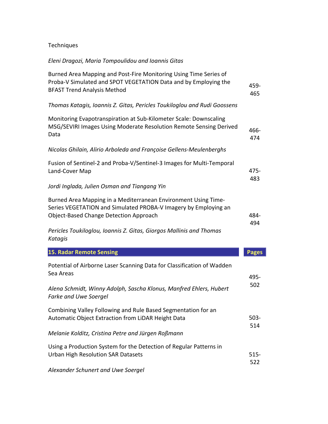## Techniques

## *Eleni Dragozi, Maria Tompoulidou and Ioannis Gitas*

| Burned Area Mapping and Post-Fire Monitoring Using Time Series of<br>Proba-V Simulated and SPOT VEGETATION Data and by Employing the<br><b>BFAST Trend Analysis Method</b>         | 459-<br>465    |
|------------------------------------------------------------------------------------------------------------------------------------------------------------------------------------|----------------|
| Thomas Katagis, Ioannis Z. Gitas, Pericles Toukiloglou and Rudi Goossens                                                                                                           |                |
| Monitoring Evapotranspiration at Sub-Kilometer Scale: Downscaling<br>MSG/SEVIRI Images Using Moderate Resolution Remote Sensing Derived<br>Data                                    | 466-<br>474    |
| Nicolas Ghilain, Alirio Arboleda and Françoise Gellens-Meulenberghs                                                                                                                |                |
| Fusion of Sentinel-2 and Proba-V/Sentinel-3 Images for Multi-Temporal<br>Land-Cover Map                                                                                            | 475-<br>483    |
| Jordi Inglada, Julien Osman and Tiangang Yin                                                                                                                                       |                |
| Burned Area Mapping in a Mediterranean Environment Using Time-<br>Series VEGETATION and Simulated PROBA-V Imagery by Employing an<br><b>Object-Based Change Detection Approach</b> | 484-<br>494    |
| Pericles Toukiloglou, Ioannis Z. Gitas, Giorgos Mallinis and Thomas<br>Katagis                                                                                                     |                |
| <b>15. Radar Remote Sensing</b>                                                                                                                                                    | <b>Pages</b>   |
| Potential of Airborne Laser Scanning Data for Classification of Wadden<br>Sea Areas                                                                                                | 495-           |
| Alena Schmidt, Winny Adolph, Sascha Klonus, Manfred Ehlers, Hubert<br><b>Farke and Uwe Soergel</b>                                                                                 | 502            |
| Combining Valley Following and Rule Based Segmentation for an<br>Automatic Object Extraction from LiDAR Height Data                                                                | $503 -$<br>514 |
| Melanie Kolditz, Cristina Petre and Jürgen Roßmann                                                                                                                                 |                |
| Using a Production System for the Detection of Regular Patterns in<br><b>Urban High Resolution SAR Datasets</b>                                                                    | $515 -$<br>522 |
| Alexander Schunert and Uwe Soergel                                                                                                                                                 |                |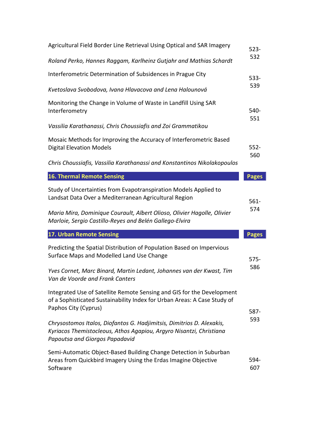| Agricultural Field Border Line Retrieval Using Optical and SAR Imagery                                                                                                         | $523 -$<br>532 |
|--------------------------------------------------------------------------------------------------------------------------------------------------------------------------------|----------------|
| Roland Perko, Hannes Raggam, Karlheinz Gutjahr and Mathias Schardt                                                                                                             |                |
| Interferometric Determination of Subsidences in Prague City                                                                                                                    | 533-<br>539    |
| Kvetoslava Svobodova, Ivana Hlavacova and Lena Halounová                                                                                                                       |                |
| Monitoring the Change in Volume of Waste in Landfill Using SAR<br>Interferometry                                                                                               | 540-<br>551    |
| Vassilia Karathanassi, Chris Choussiafis and Zoi Grammatikou                                                                                                                   |                |
| Mosaic Methods for Improving the Accuracy of Interferometric Based<br><b>Digital Elevation Models</b>                                                                          | $552 -$        |
| Chris Choussiafis, Vassilia Karathanassi and Konstantinos Nikolakopoulos                                                                                                       | 560            |
| <b>16. Thermal Remote Sensing</b>                                                                                                                                              | <b>Pages</b>   |
| Study of Uncertainties from Evapotranspiration Models Applied to<br>Landsat Data Over a Mediterranean Agricultural Region                                                      | $561 -$        |
| Maria Mira, Dominique Courault, Albert Olioso, Olivier Hagolle, Olivier<br>Marloie, Sergio Castillo-Reyes and Belén Gallego-Elvira                                             | 574            |
| 17. Urban Remote Sensing                                                                                                                                                       | <b>Pages</b>   |
| Predicting the Spatial Distribution of Population Based on Impervious<br>Surface Maps and Modelled Land Use Change                                                             | 575-           |
| Yves Cornet, Marc Binard, Martin Ledant, Johannes van der Kwast, Tim<br>Van de Voorde and Frank Canters                                                                        | 586            |
| Integrated Use of Satellite Remote Sensing and GIS for the Development<br>of a Sophisticated Sustainability Index for Urban Areas: A Case Study of<br>Paphos City (Cyprus)     | 587-           |
| Chrysostomos Italos, Diofantos G. Hadjimitsis, Dimitrios D. Alexakis,<br>Kyriacos Themistocleous, Athos Agapiou, Argyro Nisantzi, Christiana<br>Papoutsa and Giorgos Papadavid | 593            |
| Semi-Automatic Object-Based Building Change Detection in Suburban                                                                                                              |                |